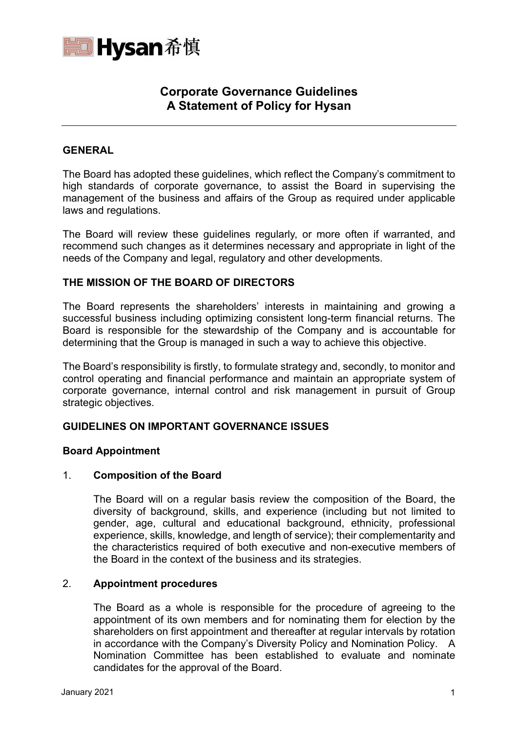

# **Corporate Governance Guidelines A Statement of Policy for Hysan**

# **GENERAL**

The Board has adopted these guidelines, which reflect the Company's commitment to high standards of corporate governance, to assist the Board in supervising the management of the business and affairs of the Group as required under applicable laws and regulations.

The Board will review these guidelines regularly, or more often if warranted, and recommend such changes as it determines necessary and appropriate in light of the needs of the Company and legal, regulatory and other developments.

## **THE MISSION OF THE BOARD OF DIRECTORS**

The Board represents the shareholders' interests in maintaining and growing a successful business including optimizing consistent long-term financial returns. The Board is responsible for the stewardship of the Company and is accountable for determining that the Group is managed in such a way to achieve this objective.

The Board's responsibility is firstly, to formulate strategy and, secondly, to monitor and control operating and financial performance and maintain an appropriate system of corporate governance, internal control and risk management in pursuit of Group strategic objectives.

## **GUIDELINES ON IMPORTANT GOVERNANCE ISSUES**

#### **Board Appointment**

#### 1. **Composition of the Board**

The Board will on a regular basis review the composition of the Board, the diversity of background, skills, and experience (including but not limited to gender, age, cultural and educational background, ethnicity, professional experience, skills, knowledge, and length of service); their complementarity and the characteristics required of both executive and non-executive members of the Board in the context of the business and its strategies.

#### 2. **Appointment procedures**

The Board as a whole is responsible for the procedure of agreeing to the appointment of its own members and for nominating them for election by the shareholders on first appointment and thereafter at regular intervals by rotation in accordance with the Company's Diversity Policy and Nomination Policy. A Nomination Committee has been established to evaluate and nominate candidates for the approval of the Board.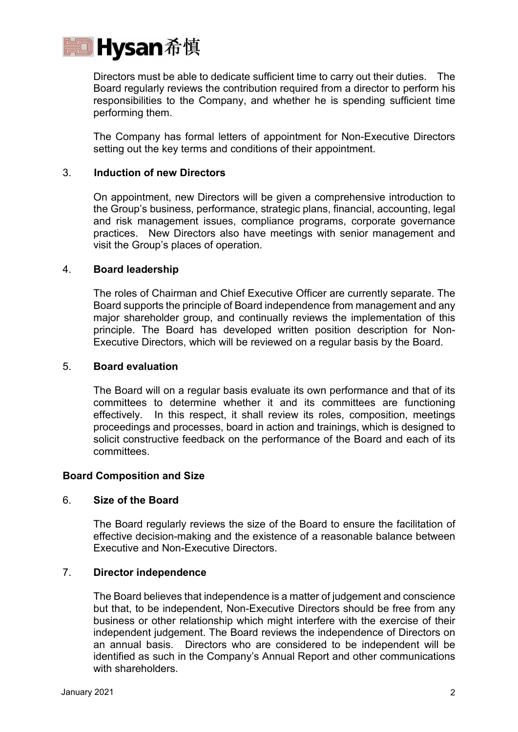

Directors must be able to dedicate sufficient time to carry out their duties. The Board regularly reviews the contribution required from a director to perform his responsibilities to the Company, and whether he is spending sufficient time performing them.

The Company has formal letters of appointment for Non-Executive Directors setting out the key terms and conditions of their appointment.

## 3. **Induction of new Directors**

On appointment, new Directors will be given a comprehensive introduction to the Group's business, performance, strategic plans, financial, accounting, legal and risk management issues, compliance programs, corporate governance practices. New Directors also have meetings with senior management and visit the Group's places of operation.

#### 4. **Board leadership**

The roles of Chairman and Chief Executive Officer are currently separate. The Board supports the principle of Board independence from management and any major shareholder group, and continually reviews the implementation of this principle. The Board has developed written position description for Non-Executive Directors, which will be reviewed on a regular basis by the Board.

# 5. **Board evaluation**

The Board will on a regular basis evaluate its own performance and that of its committees to determine whether it and its committees are functioning effectively. In this respect, it shall review its roles, composition, meetings proceedings and processes, board in action and trainings, which is designed to solicit constructive feedback on the performance of the Board and each of its committees.

#### **Board Composition and Size**

## 6. **Size of the Board**

The Board regularly reviews the size of the Board to ensure the facilitation of effective decision-making and the existence of a reasonable balance between Executive and Non-Executive Directors.

#### 7. **Director independence**

The Board believes that independence is a matter of judgement and conscience but that, to be independent, Non-Executive Directors should be free from any business or other relationship which might interfere with the exercise of their independent judgement. The Board reviews the independence of Directors on an annual basis. Directors who are considered to be independent will be identified as such in the Company's Annual Report and other communications with shareholders.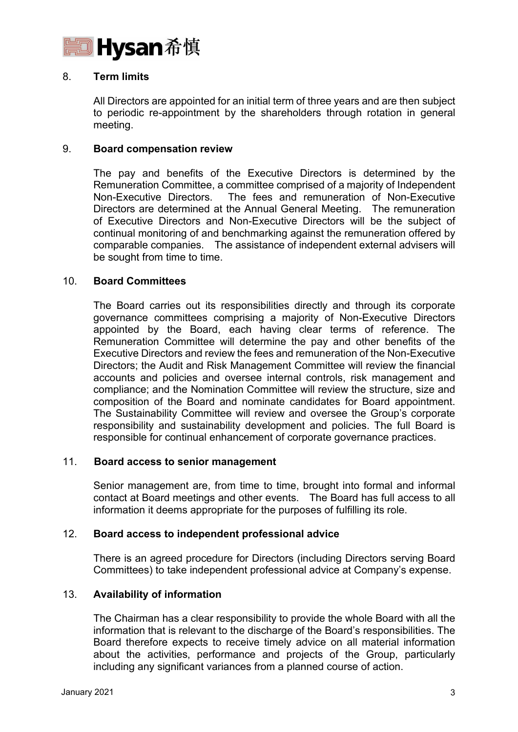

# 8. **Term limits**

All Directors are appointed for an initial term of three years and are then subject to periodic re-appointment by the shareholders through rotation in general meeting.

## 9. **Board compensation review**

The pay and benefits of the Executive Directors is determined by the Remuneration Committee, a committee comprised of a majority of Independent Non-Executive Directors. The fees and remuneration of Non-Executive Directors are determined at the Annual General Meeting. The remuneration of Executive Directors and Non-Executive Directors will be the subject of continual monitoring of and benchmarking against the remuneration offered by comparable companies. The assistance of independent external advisers will be sought from time to time.

#### 10. **Board Committees**

The Board carries out its responsibilities directly and through its corporate governance committees comprising a majority of Non-Executive Directors appointed by the Board, each having clear terms of reference. The Remuneration Committee will determine the pay and other benefits of the Executive Directors and review the fees and remuneration of the Non-Executive Directors; the Audit and Risk Management Committee will review the financial accounts and policies and oversee internal controls, risk management and compliance; and the Nomination Committee will review the structure, size and composition of the Board and nominate candidates for Board appointment. The Sustainability Committee will review and oversee the Group's corporate responsibility and sustainability development and policies. The full Board is responsible for continual enhancement of corporate governance practices.

# 11. **Board access to senior management**

Senior management are, from time to time, brought into formal and informal contact at Board meetings and other events. The Board has full access to all information it deems appropriate for the purposes of fulfilling its role.

#### 12. **Board access to independent professional advice**

There is an agreed procedure for Directors (including Directors serving Board Committees) to take independent professional advice at Company's expense.

#### 13. **Availability of information**

The Chairman has a clear responsibility to provide the whole Board with all the information that is relevant to the discharge of the Board's responsibilities. The Board therefore expects to receive timely advice on all material information about the activities, performance and projects of the Group, particularly including any significant variances from a planned course of action.